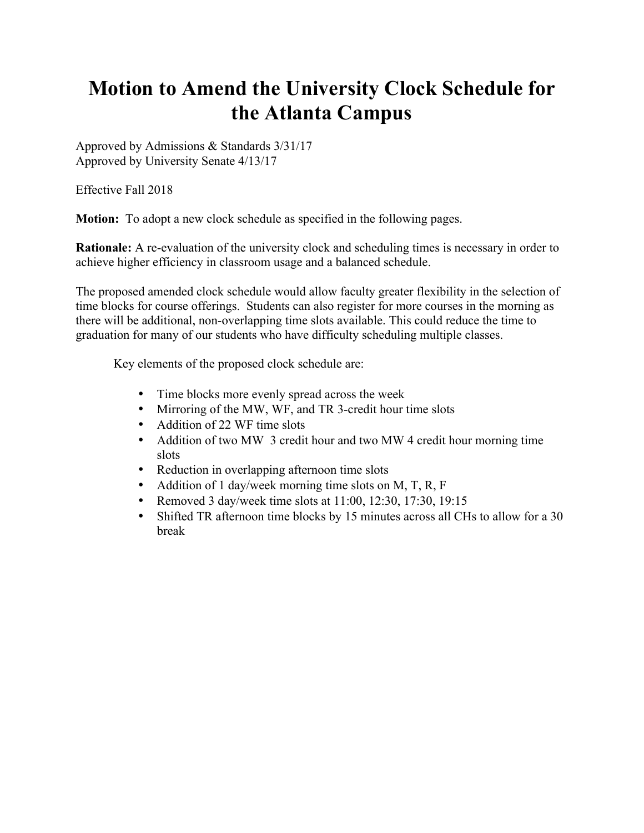# **Motion to Amend the University Clock Schedule for the Atlanta Campus**

Approved by Admissions & Standards 3/31/17 Approved by University Senate 4/13/17

Effective Fall 2018

**Motion:** To adopt a new clock schedule as specified in the following pages.

**Rationale:** A re-evaluation of the university clock and scheduling times is necessary in order to achieve higher efficiency in classroom usage and a balanced schedule.

The proposed amended clock schedule would allow faculty greater flexibility in the selection of time blocks for course offerings. Students can also register for more courses in the morning as there will be additional, non-overlapping time slots available. This could reduce the time to graduation for many of our students who have difficulty scheduling multiple classes.

Key elements of the proposed clock schedule are:

- Time blocks more evenly spread across the week
- Mirroring of the MW, WF, and TR 3-credit hour time slots
- Addition of 22 WF time slots
- Addition of two MW 3 credit hour and two MW 4 credit hour morning time slots
- Reduction in overlapping afternoon time slots
- Addition of 1 day/week morning time slots on M, T, R, F
- Removed 3 day/week time slots at  $11:00$ ,  $12:30$ ,  $17:30$ ,  $19:15$
- Shifted TR afternoon time blocks by 15 minutes across all CHs to allow for a 30 break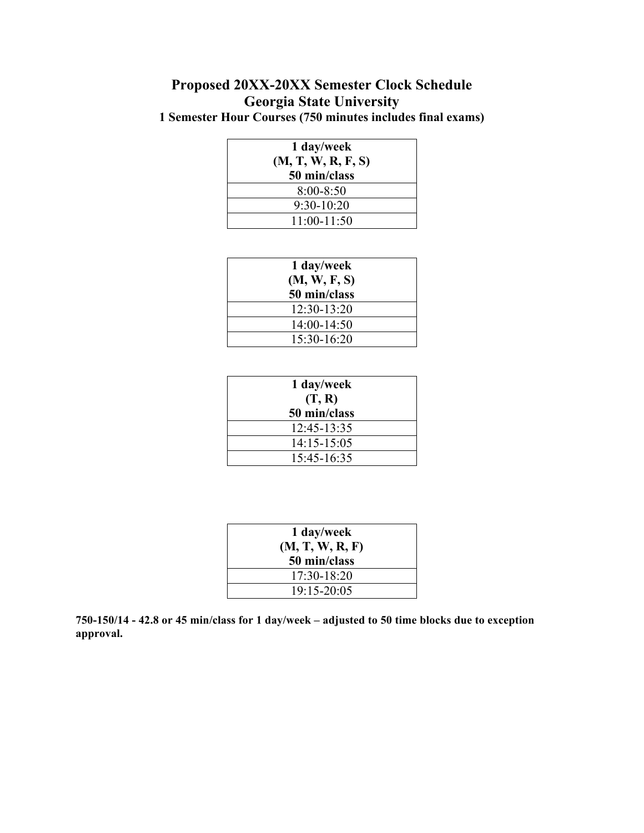### **Proposed 20XX-20XX Semester Clock Schedule Georgia State University 1 Semester Hour Courses (750 minutes includes final exams)**

| 1 day/week         |  |
|--------------------|--|
| (M, T, W, R, F, S) |  |
| 50 min/class       |  |
| $8:00 - 8:50$      |  |
| $9:30-10:20$       |  |
| $11:00-11:50$      |  |

| 1 day/week    |  |
|---------------|--|
| (M, W, F, S)  |  |
| 50 min/class  |  |
| $12:30-13:20$ |  |
| 14:00-14:50   |  |
| $15:30-16:20$ |  |

| 1 day/week      |
|-----------------|
| (T, R)          |
| 50 min/class    |
| 12:45-13:35     |
| $14:15 - 15:05$ |
| $15.45 - 16.35$ |

| 1 day/week<br>(M, T, W, R, F) |
|-------------------------------|
| 50 min/class                  |
| $17.30 - 18.20$               |
| $19.15 - 20.05$               |

**750-150/14 - 42.8 or 45 min/class for 1 day/week – adjusted to 50 time blocks due to exception approval.**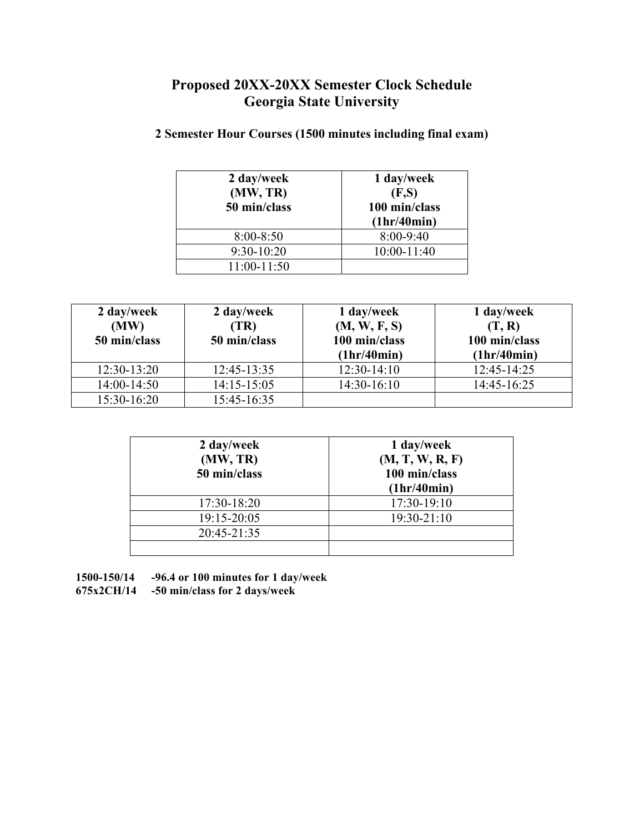| 2 day/week<br>(MW, TR)<br>50 min/class | 1 day/week<br>(F,S)<br>100 min/class<br>(1hr/40min) |
|----------------------------------------|-----------------------------------------------------|
| $8:00 - 8:50$                          | $8:00-9:40$                                         |
| $9:30-10:20$                           | $10:00 - 11:40$                                     |
| $11:00-11:50$                          |                                                     |

#### **2 Semester Hour Courses (1500 minutes including final exam)**

| 2 day/week<br>(MW)<br>50 min/class | 2 day/week<br>(TR)<br>50 min/class | 1 day/week<br>(M, W, F, S)<br>100 min/class<br>(1hr/40min) | 1 day/week<br>(T, R)<br>100 min/class<br>(1hr/40min) |
|------------------------------------|------------------------------------|------------------------------------------------------------|------------------------------------------------------|
| $12:30-13:20$                      | $12:45-13:35$                      | $12:30-14:10$                                              | 12:45-14:25                                          |
| 14:00-14:50                        | $14:15 - 15:05$                    | $14:30-16:10$                                              | 14:45-16:25                                          |
| 15:30-16:20                        | 15:45-16:35                        |                                                            |                                                      |

| 2 day/week<br>(MW, TR)<br>50 min/class | 1 day/week<br>(M, T, W, R, F)<br>100 min/class<br>(1hr/40min) |  |  |
|----------------------------------------|---------------------------------------------------------------|--|--|
| 17:30-18:20                            | 17:30-19:10                                                   |  |  |
| 19:15-20:05                            | $19:30 - 21:10$                                               |  |  |
| 20:45-21:35                            |                                                               |  |  |
|                                        |                                                               |  |  |

**1500-150/14 -96.4 or 100 minutes for 1 day/week**

**675x2CH/14 -50 min/class for 2 days/week**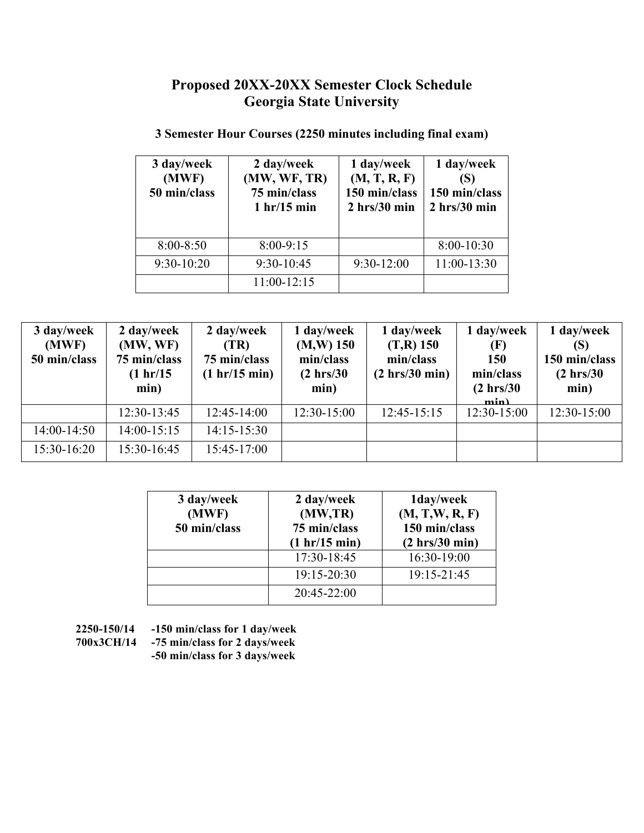| 3 day/week<br>(MWF)<br>50 min/class | 2 day/week<br>(MW, WF, TR)<br>75 min/class<br>1 hr/15 min | 1 day/week<br>(M, T, R, F)<br>150 min/class<br>$2 \, hrs/30 \, min$ | 1 day/week<br>(S)<br>150 min/class<br>$2 \,$ hrs/30 min |
|-------------------------------------|-----------------------------------------------------------|---------------------------------------------------------------------|---------------------------------------------------------|
| $8:00 - 8:50$                       | $8:00-9:15$                                               |                                                                     | $8:00-10:30$                                            |
| $9:30-10:20$                        | $9:30-10:45$                                              | $9:30-12:00$                                                        | 11:00-13:30                                             |
|                                     | 11:00-12:15                                               |                                                                     |                                                         |

#### **3 Semester Hour Courses (2250 minutes including final exam)**

| 3 day/week<br>(MWF)<br>50 min/class | 2 day/week<br>(MW, WF)<br>75 min/class<br>(1 hr/15<br>min) | 2 day/week<br>(TR)<br>75 min/class<br>(1 hr/15 min) | 1 day/week<br>$(M,W)$ 150<br>min/class<br>$(2 \text{ hrs}/30)$<br>min) | 1 day/week<br>$(T,R)$ 150<br>min/class<br>(2 hrs/30 min) | 1 day/week<br>(F)<br>150<br>min/class<br>$(2 \text{ hrs}/30)$<br>min | 1 day/week<br>(S)<br>150 min/class<br>$(2 \text{ hrs}/30)$<br>min) |
|-------------------------------------|------------------------------------------------------------|-----------------------------------------------------|------------------------------------------------------------------------|----------------------------------------------------------|----------------------------------------------------------------------|--------------------------------------------------------------------|
|                                     | 12:30-13:45                                                | $12:45-14:00$                                       | $12:30-15:00$                                                          | $12:45-15:15$                                            | $12:30-15:00$                                                        | $12:30-15:00$                                                      |
| $14:00-14:50$                       | $14:00-15:15$                                              | $14:15 - 15:30$                                     |                                                                        |                                                          |                                                                      |                                                                    |
| $15:30-16:20$                       | 15:30-16:45                                                | $15:45-17:00$                                       |                                                                        |                                                          |                                                                      |                                                                    |

| 3 day/week<br>(MWF)<br>50 min/class | 2 day/week<br>(MW,TR)<br>75 min/class<br>(1 hr/15 min) | 1day/week<br>(M, T, W, R, F)<br>150 min/class<br>(2 hrs/30 min) |
|-------------------------------------|--------------------------------------------------------|-----------------------------------------------------------------|
|                                     | 17:30-18:45                                            | 16:30-19:00                                                     |
|                                     | 19:15-20:30                                            | 19:15-21:45                                                     |
|                                     | 20:45-22:00                                            |                                                                 |

- **2250-150/14 -150 min/class for 1 day/week**
- 

**700x3CH/14 -75 min/class for 2 days/week**

**-50 min/class for 3 days/week**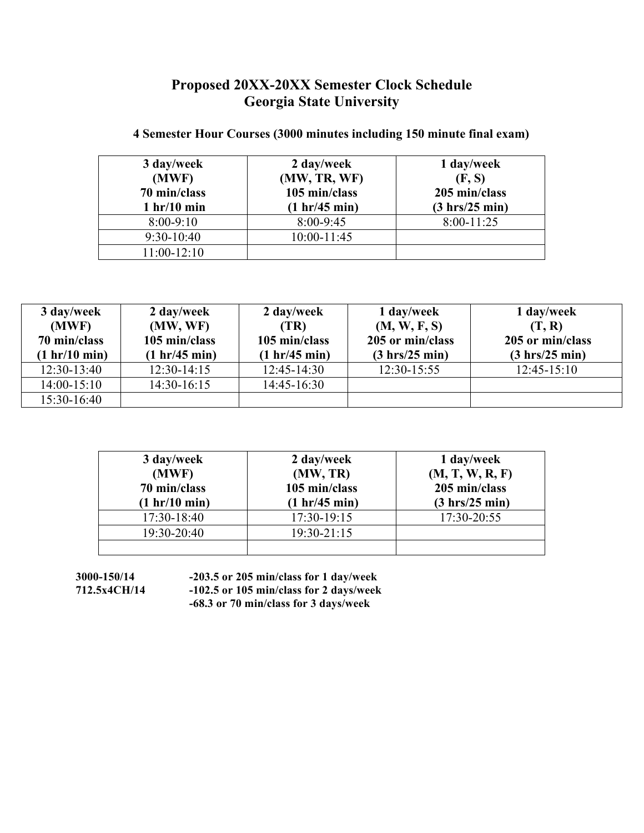| 3 day/week    | 2 day/week      | 1 day/week                       |
|---------------|-----------------|----------------------------------|
| (MWF)         | (MW, TR, WF)    | (F, S)                           |
| 70 min/class  | 105 min/class   | 205 min/class                    |
| 1 hr/10 min   | (1 hr/45 min)   | $(3 \text{ hrs}/25 \text{ min})$ |
| $8:00-9:10$   | 8:00-9:45       | $8:00-11:25$                     |
| $9:30-10:40$  | $10:00 - 11:45$ |                                  |
| $11:00-12:10$ |                 |                                  |

#### **4 Semester Hour Courses (3000 minutes including 150 minute final exam)**

| 3 day/week      | 2 day/week    | 2 day/week      | 1 day/week                       | 1 day/week                       |
|-----------------|---------------|-----------------|----------------------------------|----------------------------------|
| (MWF)           | (MW, WF)      | (TR)            | (M, W, F, S)                     | (T, R)                           |
| 70 min/class    | 105 min/class | 105 min/class   | 205 or min/class                 | 205 or min/class                 |
| (1 hr/10 min)   | (1 hr/45 min) | (1 hr/45 min)   | $(3 \text{ hrs}/25 \text{ min})$ | $(3 \text{ hrs}/25 \text{ min})$ |
| $12:30-13:40$   | $12:30-14:15$ | $12:45-14:30$   | $12:30-15:55$                    | $12:45-15:10$                    |
| $14:00 - 15:10$ | $14:30-16:15$ | $14:45 - 16:30$ |                                  |                                  |
| $15:30-16:40$   |               |                 |                                  |                                  |

| 3 day/week    | 2 day/week      | 1 day/week                       |
|---------------|-----------------|----------------------------------|
| (MWF)         | (MW, TR)        | (M, T, W, R, F)                  |
| 70 min/class  | 105 min/class   | 205 min/class                    |
| (1 hr/10 min) | (1 hr/45 min)   | $(3 \text{ hrs}/25 \text{ min})$ |
| 17:30-18:40   | 17:30-19:15     | 17:30-20:55                      |
| 19:30-20:40   | $19:30 - 21:15$ |                                  |
|               |                 |                                  |

**3000-150/14 -203.5 or 205 min/class for 1 day/week 712.5x4CH/14 -102.5 or 105 min/class for 2 days/week -68.3 or 70 min/class for 3 days/week**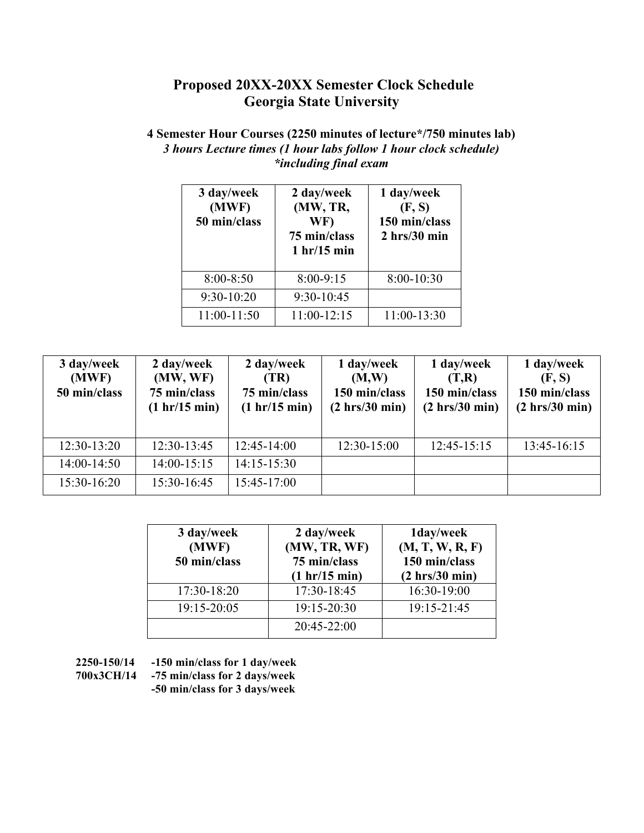#### **4 Semester Hour Courses (2250 minutes of lecture\*/750 minutes lab)** *3 hours Lecture times (1 hour labs follow 1 hour clock schedule) \*including final exam*

| 3 day/week<br>(MWF)<br>50 min/class | 2 day/week<br>(MW, TR,<br>WF)<br>75 min/class<br>1 hr/15 min | 1 day/week<br>(F, S)<br>150 min/class<br>$2 \, hrs/30 \, min$ |
|-------------------------------------|--------------------------------------------------------------|---------------------------------------------------------------|
| $8:00 - 8:50$                       | $8:00 - 9:15$                                                | $8:00-10:30$                                                  |
| 9:30-10:20                          | 9:30-10:45                                                   |                                                               |
| 11:00-11:50                         | $11:00-12:15$                                                | 11:00-13:30                                                   |

| 3 day/week<br>(MWF)<br>50 min/class | 2 day/week<br>(MW, WF)<br>75 min/class<br>(1 hr/15 min) | 2 day/week<br>(TR)<br>75 min/class<br>(1 hr/15 min) | 1 day/week<br>(M,W)<br>150 min/class<br>(2 hrs/30 min) | 1 day/week<br>(T,R)<br>150 min/class<br>(2 hrs/30 min) | 1 day/week<br>(F, S)<br>150 min/class<br>(2 hrs/30 min) |
|-------------------------------------|---------------------------------------------------------|-----------------------------------------------------|--------------------------------------------------------|--------------------------------------------------------|---------------------------------------------------------|
| $12:30-13:20$                       | $12:30-13:45$                                           | $12:45-14:00$                                       | $12:30-15:00$                                          | 12:45-15:15                                            | 13:45-16:15                                             |
| $14:00-14:50$                       | $14:00 - 15:15$                                         | $14:15 - 15:30$                                     |                                                        |                                                        |                                                         |
| 15:30-16:20                         | 15:30-16:45                                             | 15:45-17:00                                         |                                                        |                                                        |                                                         |

| 3 day/week<br>(MWF)<br>50 min/class | 2 day/week<br>(MW, TR, WF)<br>75 min/class<br>(1 hr/15 min) | 1day/week<br>(M, T, W, R, F)<br>150 min/class<br>(2 hrs/30 min) |
|-------------------------------------|-------------------------------------------------------------|-----------------------------------------------------------------|
| 17:30-18:20                         | 17:30-18:45                                                 | 16:30-19:00                                                     |
| 19:15-20:05                         | 19:15-20:30                                                 | 19:15-21:45                                                     |
|                                     | 20:45-22:00                                                 |                                                                 |

- **2250-150/14 -150 min/class for 1 day/week**
- **700x3CH/14 -75 min/class for 2 days/week**
	- **-50 min/class for 3 days/week**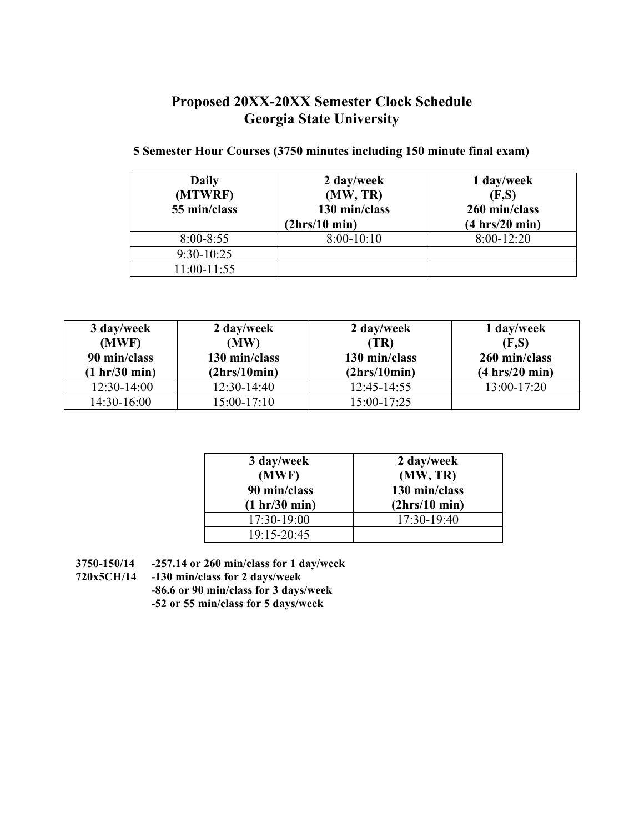#### **5 Semester Hour Courses (3750 minutes including 150 minute final exam)**

| <b>Daily</b><br>(MTWRF)<br>55 min/class | 2 day/week<br>(MW, TR)<br>130 min/class<br>(2hrs/10 min) | 1 day/week<br>(F,S)<br>260 min/class<br>$(4 \text{ hrs}/20 \text{ min})$ |
|-----------------------------------------|----------------------------------------------------------|--------------------------------------------------------------------------|
| $8:00 - 8:55$                           | $8:00-10:10$                                             | $8:00-12:20$                                                             |
| $9:30-10:25$                            |                                                          |                                                                          |
| $11:00-11:55$                           |                                                          |                                                                          |

| 3 day/week<br>(MWF)<br>90 min/class<br>(1 hr/30 min) | 2 day/week<br>(MW)<br>130 min/class<br>(2hrs/10min) | 2 day/week<br>(TR)<br>130 min/class<br>(2hrs/10min) | 1 day/week<br>(F,S)<br>260 min/class<br>(4 hrs/20 min) |
|------------------------------------------------------|-----------------------------------------------------|-----------------------------------------------------|--------------------------------------------------------|
| $12:30-14:00$                                        | $12:30-14:40$                                       | $12:45 - 14:55$                                     | 13:00-17:20                                            |
| $14:30-16:00$                                        | $15:00-17:10$                                       | 15:00-17:25                                         |                                                        |

| 3 day/week<br>(MWF)<br>90 min/class<br>(1 hr/30 min) | 2 day/week<br>(MW, TR)<br>130 min/class<br>(2hrs/10 min) |
|------------------------------------------------------|----------------------------------------------------------|
| 17:30-19:00                                          | $17:30-19:40$                                            |
| 19:15-20:45                                          |                                                          |

**3750-150/14 -257.14 or 260 min/class for 1 day/week**

**720x5CH/14 -130 min/class for 2 days/week**

**-86.6 or 90 min/class for 3 days/week -52 or 55 min/class for 5 days/week**